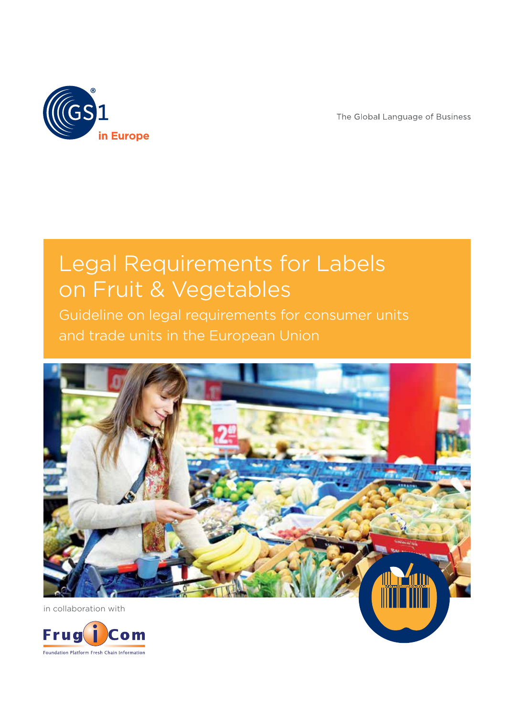

The Global Language of Business

## Legal Requirements for Labels on Fruit & Vegetables

Guideline on legal requirements for consumer units and trade units in the European Union



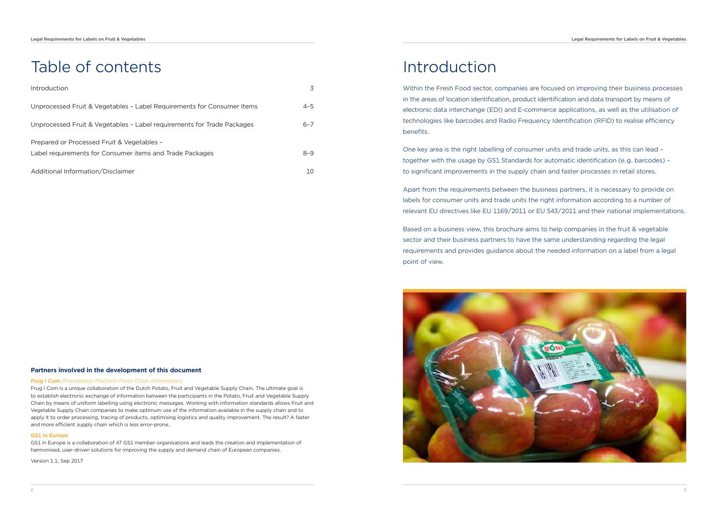# Table of contents

| Introduction                                                           |         |  |
|------------------------------------------------------------------------|---------|--|
| Unprocessed Fruit & Vegetables - Label Requirements for Consumer Items | $4 - 5$ |  |
| Unprocessed Fruit & Vegetables - Label requirements for Trade Packages | $6 - 7$ |  |
| Prepared or Processed Fruit & Vegetables -                             |         |  |
| Label requirements for Consumer items and Trade Packages               | $8 - 9$ |  |
| Additional Information/Disclaimer                                      | 10      |  |

### **Partners involved in the development of this document**

#### **Frug I Com** *(Foundation Platform Fresh Chain Information)*

Frug I Com is a unique collaboration of the Dutch Potato, Fruit and Vegetable Supply Chain. The ultimate goal is to establish electronic exchange of information between the participants in the Potato, Fruit and Vegetable Supply Chain by means of uniform labelling using electronic messages. Working with information standards allows Fruit and Vegetable Supply Chain companies to make optimum use of the information available in the supply chain and to apply it to order processing, tracing of products, optimising logistics and quality improvement. The result? A faster and more efficient supply chain which is less error-prone.

#### **GS1 in Europe**

GS1 in Europe is a collaboration of 47 GS1 member organisations and leads the creation and implementation of harmonised, user-driven solutions for improving the supply and demand chain of European companies.

Version 1.1, Sep 2017

### Introduction

Within the Fresh Food sector, companies are focused on improving their business processes in the areas of location identification, product identification and data transport by means of electronic data interchange (EDI) and E-commerce applications, as well as the utilisation of technologies like barcodes and Radio Frequency Identification (RFID) to realise efficiency benefits.

One key area is the right labelling of consumer units and trade units, as this can lead – together with the usage by GS1 Standards for automatic identification (e.g. barcodes) – to significant improvements in the supply chain and faster processes in retail stores.

Apart from the requirements between the business partners, it is necessary to provide on labels for consumer units and trade units the right information according to a number of relevant EU directives like EU 1169/2011 or EU 543/2011 and their national implementations.

Based on a business view, this brochure aims to help companies in the fruit & vegetable sector and their business partners to have the same understanding regarding the legal requirements and provides guidance about the needed information on a label from a legal point of view.

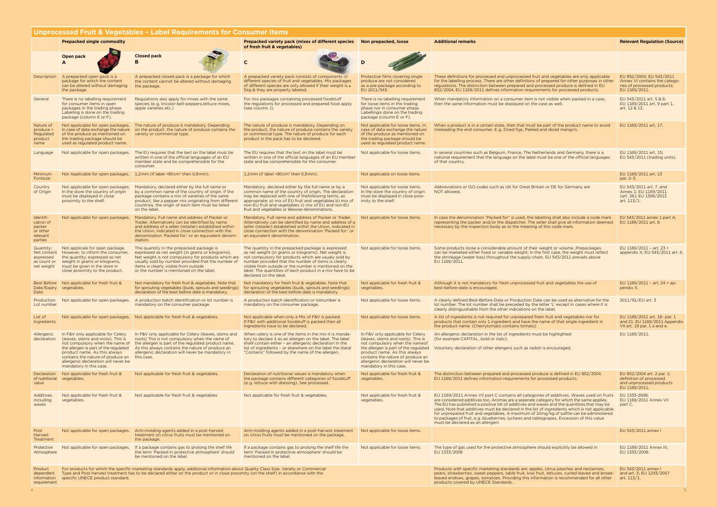| Unprocessed Fruit & Vegetables - Label Requirements for Consumer Items |                                                                                                                                                                                                                                                                                                                                                                                                                                                                                                                                                                                                                                                                                                                          |                                                                                                                                                                                                                                                                                                        |                                                                                                                                                                                                                                                                                                                                                                            |                                                                                                                                                                                                                                                                                             |                                                                                                                                                                                                                                                                                                                                                                                                                                                                                                                                                                                                                 |                                                                                                           |  |
|------------------------------------------------------------------------|--------------------------------------------------------------------------------------------------------------------------------------------------------------------------------------------------------------------------------------------------------------------------------------------------------------------------------------------------------------------------------------------------------------------------------------------------------------------------------------------------------------------------------------------------------------------------------------------------------------------------------------------------------------------------------------------------------------------------|--------------------------------------------------------------------------------------------------------------------------------------------------------------------------------------------------------------------------------------------------------------------------------------------------------|----------------------------------------------------------------------------------------------------------------------------------------------------------------------------------------------------------------------------------------------------------------------------------------------------------------------------------------------------------------------------|---------------------------------------------------------------------------------------------------------------------------------------------------------------------------------------------------------------------------------------------------------------------------------------------|-----------------------------------------------------------------------------------------------------------------------------------------------------------------------------------------------------------------------------------------------------------------------------------------------------------------------------------------------------------------------------------------------------------------------------------------------------------------------------------------------------------------------------------------------------------------------------------------------------------------|-----------------------------------------------------------------------------------------------------------|--|
|                                                                        | <b>Prepacked single commodity</b>                                                                                                                                                                                                                                                                                                                                                                                                                                                                                                                                                                                                                                                                                        |                                                                                                                                                                                                                                                                                                        | Prepacked variety pack (mixes of different species<br>of fresh fruit & vegetables)                                                                                                                                                                                                                                                                                         | Non prepacked, loose                                                                                                                                                                                                                                                                        | <b>Additional remarks</b>                                                                                                                                                                                                                                                                                                                                                                                                                                                                                                                                                                                       | <b>Relevant Regulation (Source)</b>                                                                       |  |
|                                                                        | Open pack<br>A                                                                                                                                                                                                                                                                                                                                                                                                                                                                                                                                                                                                                                                                                                           | <b>Closed pack</b><br><sub>R</sub>                                                                                                                                                                                                                                                                     |                                                                                                                                                                                                                                                                                                                                                                            |                                                                                                                                                                                                                                                                                             |                                                                                                                                                                                                                                                                                                                                                                                                                                                                                                                                                                                                                 |                                                                                                           |  |
|                                                                        | Description   A prepacked open pack is a<br>package for which the content<br>can be altered without damaging<br>the package.                                                                                                                                                                                                                                                                                                                                                                                                                                                                                                                                                                                             | A prepacked closed pack is a package for which<br>the content cannot be altered without damaging<br>the package.                                                                                                                                                                                       | A prepacked variety pack consists of components of<br>different species of fruit and vegetables. Mix packages<br>of different species are only allowed if their weight is ≤<br>5kg & they are properly labeled.                                                                                                                                                            | Protective films covering single<br>produce are not considered<br>as a pre-package according to<br>EU 2011/543.                                                                                                                                                                             | These definitions for processed and unprocessed fruit and vegetables are only applicable<br>for the labelling process. There are other definitons of prepared for other purposes in other<br>regulations. The distinction between prepared and processed produce is defined in EU<br>852/2004, EU 1169/2011 defines information requirements for processed products.                                                                                                                                                                                                                                            | EU 852/2004; EU 543/2011<br>Annex VI contains the catego-<br>ries of processed products;<br>EU 1169/2011. |  |
| General                                                                | There is no labelling requirement<br>for consumer items in open<br>packages in the trading phase.<br>Labelling is done on the trading<br>package (column E or F).                                                                                                                                                                                                                                                                                                                                                                                                                                                                                                                                                        | Regulations also apply for mixes with the same<br>species (e.g. tricolor-bell-peppers, lettuce mixes,<br>apple varieties etc.)                                                                                                                                                                         | For mix packages containing processed foodstuff<br>the regulations for processed and prepared food apply<br>(see column J).                                                                                                                                                                                                                                                | There is no labelling requirement<br>for loose items in the trading<br>phase nor in consumer phase.<br>Labellingis done on the trading<br>package (column E or F).                                                                                                                          | When mandatory information on a consumer item is not visible when packed in a case.<br>then the same information must be displayed on the case as well.                                                                                                                                                                                                                                                                                                                                                                                                                                                         | EU 543/2011 art. 5 & 6;<br>EU 1169/2011 art. 9 part 1,<br>art. 12 & 13.                                   |  |
| Nature of<br>produce =<br>Regulated<br>product<br>name                 | Not applicable for open packages.<br>In case of data exchange the nature<br>of the produce as mentioned on<br>the trading package should be<br>used as regulated product name.                                                                                                                                                                                                                                                                                                                                                                                                                                                                                                                                           | The nature of produce is mandatory. Depending<br>on the product, the nature of produce contains the<br>variety or commercial type                                                                                                                                                                      | The nature of produce is mandatory. Depending on<br>the product, the nature of produce contains the variety<br>or commercial type. The nature of produce for each<br>product in the pack has to be declared.                                                                                                                                                               | Not applicable for loose items. In<br>case of data exchange the nature<br>of the produce as mentioned on<br>the trading package should be<br>used as regulated product name.                                                                                                                | When a product is in a certain state, then that must be part of the product name to avoid<br>misleading the end consumer. E.g. Dried figs, Peeled and diced mango's.                                                                                                                                                                                                                                                                                                                                                                                                                                            | EU 1169/2011 art. 17.                                                                                     |  |
| Language                                                               | Not applicable for open packages.                                                                                                                                                                                                                                                                                                                                                                                                                                                                                                                                                                                                                                                                                        | The EU requires that the text on the label must be<br>written in one of the official languages of an EU<br>member state and be comprehensible for the<br>consumer.                                                                                                                                     | The EU requires that the text on the label must be<br>written in one of the official languages of an EU member<br>state and be comprehensible for the consumer.                                                                                                                                                                                                            | Not applicable for loose items.                                                                                                                                                                                                                                                             | In several countries such as Belgium, France, The Netherlands and Germany, there is a<br>national requirement that the language on the label must be one of the official languages<br>of that country.                                                                                                                                                                                                                                                                                                                                                                                                          | EU 1169/2011 art. 15;<br>EU 543/2011 (trading units).                                                     |  |
| Minimum<br>Fontsize                                                    | Not Applicable for open packages.                                                                                                                                                                                                                                                                                                                                                                                                                                                                                                                                                                                                                                                                                        | $1,2$ mm (if label <80 cm <sup>2</sup> then 0,9 mm).                                                                                                                                                                                                                                                   | $1,2$ mm (if label <80 cm <sup>2</sup> then 0,9 mm).                                                                                                                                                                                                                                                                                                                       | Not applicable on loose items.                                                                                                                                                                                                                                                              |                                                                                                                                                                                                                                                                                                                                                                                                                                                                                                                                                                                                                 | EU 1169/2011 art. 13<br>par. 2-3.                                                                         |  |
| Country<br>of Origin                                                   | Not applicable for open packages.<br>In the store the country of origin<br>must be displayed in close<br>proximity to the shelf.                                                                                                                                                                                                                                                                                                                                                                                                                                                                                                                                                                                         | Mandatory, declared either by the full name or<br>by a common name of the country of origin. If the<br>package contains a mix of varieties of the same<br>product, like a pepper mix originating from different<br>countries, the origin of each item must be listed<br>on the label.                  | Mandatory, declared either by the full name or by a<br>common name of the country of origin. The declaration<br>may be replaced with one of the following terms, as<br>appropriate: a) mix of EU fruit and vegetables b) mix of<br>non-EU fruit and vegetables c) mix of EU and non-EU<br>fruit and vegetables or likewise denominations.                                  | Not applicable for loose items.<br>In the store the country of origin<br>must be displayed in close prox-<br>imity to the shelf.                                                                                                                                                            | Abbreviations or ISO codes such as UK for Great Britain or DE for Germany are<br>NOT allowed.                                                                                                                                                                                                                                                                                                                                                                                                                                                                                                                   | EU 543/2011 art. 7. and<br>Annex 1; EU 1169/2011<br>(art. 26); EU 1308/2013<br>art. $113/1$ .             |  |
| Identifi-<br>cation of<br>packer<br>or other<br>relevant<br>parties    | Not applicable for open packages.                                                                                                                                                                                                                                                                                                                                                                                                                                                                                                                                                                                                                                                                                        | Mandatory. Full name and address of Packer or<br>Trader. Alternatively can be identified by name<br>and address of a seller (retailer) established within<br>the Union, indicated in close connection with the<br>denomination 'Packed for:' or an equivalent denom-<br>ination.                       | Mandatory. Full name and address of Packer or Trader.<br>Alternatively can be identified by name and address of a<br>seller (retailer) established within the Union, indicated in<br>close connection with the denomination 'Packed for:' or<br>an equivalent denomination.                                                                                                | Not applicable for loose items.                                                                                                                                                                                                                                                             | In case the denomination "Packed for" is used, the labelling shall also include a code mark<br>representing the packer and/or the dispatcher. The seller shall give all information deemed<br>necessary by the inspection body as to the meaning of this code mark.                                                                                                                                                                                                                                                                                                                                             | EU 543/2011 annex 1 part A;<br>EU 1169/2011 art. 8                                                        |  |
| Quantity:<br>Net content<br>expressed<br>as count or<br>net weight     | Not applicale for open package.<br>However, to inform the consumer,<br>the quantity, expressed as net<br>weight in grams or kilograms,<br>must be given in the store in<br>close proximity to the product.                                                                                                                                                                                                                                                                                                                                                                                                                                                                                                               | The quantity in the prepacked package is<br>expressed as net weight (in grams or kilograms).<br>Net weight is not compulsory for products which are<br>usually sold by number provided that the number of<br>items is clearly visible from outside<br>or the number is mentioned on the label.         | The quantity in the prepacked package is expressed<br>as net weight (in grams or kilograms). Net weight is<br>not compulsory for products which are usualy sold by<br>number provided that the number of items is clearly<br>visible from outside or the number is mentioned on the<br>label. The quantities of each product in a mix have to be<br>declared on the label. | Not applicable for loose items.                                                                                                                                                                                                                                                             | Some products loose a considerable amount of their weight or volume .Prepackages<br>can be marketed either fixed or variable weight; In the first case, the weight must reflect<br>the shrinkage (water loss) throughout the supply-chain. EU 543/2011 prevails above<br>EU 1169/2011.                                                                                                                                                                                                                                                                                                                          | EU 1169/2011 - art. 23 +<br>appendix X; EU 543/2011 art. 6.                                               |  |
| Date                                                                   | Best Before Not applicable for fresh fruit &<br>Date/Expiry vegetables.                                                                                                                                                                                                                                                                                                                                                                                                                                                                                                                                                                                                                                                  | Not mandatory for fresh fruit & vegetables. Note that<br>for sprouting vegetables (buds, sprouts and seedlings)<br>declaration of the best before date is mandatory.                                                                                                                                   | Not mandatory for fresh fruit & vegetables. Note that<br>for sprouting vegetables (buds, sprouts and seedlings)<br>declaration of the best before date is mandatory.                                                                                                                                                                                                       | Not applicable for fresh fruit &<br>vegetables.                                                                                                                                                                                                                                             | Although it is not mandatory for fresh unprocessed fruit and vegetables the use of<br>best-before-date is encouraged.                                                                                                                                                                                                                                                                                                                                                                                                                                                                                           | EU $1169/2011$ - art. 24 + ap-<br>pendix X.                                                               |  |
| Lot number                                                             | Production Not applicable for open packages.                                                                                                                                                                                                                                                                                                                                                                                                                                                                                                                                                                                                                                                                             | A production batch identification or lot number is<br>mandatory on the consumer package.                                                                                                                                                                                                               | A production batch identification or lotnumber is<br>mandatory on the consumer package.                                                                                                                                                                                                                                                                                    | Not applicable for loose items.                                                                                                                                                                                                                                                             | A clearly defined Best-Before-Date or Production Date can be used as alternative for the<br>lot number. The lot number shall be preceded by the letter 'L' except in cases where it is<br>clearly distinguishable from the other indications on the label.                                                                                                                                                                                                                                                                                                                                                      | 2011/91/EU art. 3                                                                                         |  |
| List of<br>Ingredients                                                 | Not applicable for open packages.                                                                                                                                                                                                                                                                                                                                                                                                                                                                                                                                                                                                                                                                                        | Not applicable for fresh fruit & vegetables.                                                                                                                                                                                                                                                           | Not applicable when only a Mix of F&V is packed.<br>If F&V with additional foodstuff is packed then all<br>ingredients have to be declared.                                                                                                                                                                                                                                | Not applicable for loose items.                                                                                                                                                                                                                                                             | A list of ingredients is not required for unprepared fresh fruit and vegetables nor for<br>products that contain only 1 ingredient and have the name of that single ingredient in<br>the product name. (Cherrytomato contains tomato)                                                                                                                                                                                                                                                                                                                                                                           | EU 1169/2011 art. 18- par. 1<br>and 21. EU 1169/2011 Appendix<br>VII art. 19 par. 1 a and e.              |  |
| Allergenic<br>declaration                                              | In F&V only applicable for Celery<br>(leaves, stems and roots). This is<br>the allergen is part of the regulated<br>product name. As this always<br>contains the nature of produce an this case.<br>allergenic declaration will never be<br>mandatory in this case.                                                                                                                                                                                                                                                                                                                                                                                                                                                      | In F&V only applicable for Celery (leaves, stems and<br>roots) This is not compulsory when the name of<br>not compulsory when the name of the allergen is part of the regulated product name.<br>As this always contains the nature of produce an<br>allergenic declaration will never be mandatory in | When celery is one of the items in the mix it is manda-<br>tory to declare it as an allergen on the label. The label<br>shalll contain either - an allergenic declaration in the<br>list of ingredients - or elsewhere on the label the literal<br>"Contains" followed by the name of the allergen.                                                                        | In F&V only applicable for Celery<br>(leaves, stems and roots). This is<br>not compulsory when the name of<br>the allergen is part of the regulated<br>product name. As this always<br>contains the nature of produce an<br>allergenic declaration will never be<br>mandatory in this case. | An allergenic declaration in the list of ingredients must be highlighted<br>(for example CAPITAL, bold or italic).<br>Voluntary declaration of other allergens such as radish is encouraged.                                                                                                                                                                                                                                                                                                                                                                                                                    | EU 1169/2011.                                                                                             |  |
| Declaration<br>of nutritional<br>value                                 | Not applicable for fresh fruit &<br>vegetables.                                                                                                                                                                                                                                                                                                                                                                                                                                                                                                                                                                                                                                                                          | Not applicable for fresh fruit & vegetables.                                                                                                                                                                                                                                                           | Declaration of nutritional values is mandatory when<br>the package contains different categories of foodstuff<br>(e.g. lettuce with dressing). See processed.                                                                                                                                                                                                              | Not applicable for fresh fruit &<br>vegetables.                                                                                                                                                                                                                                             | The distinction between prepared and processed produce is defined in EU 852/2004.<br>EU 1169/2011 defines information requirements for processed products.                                                                                                                                                                                                                                                                                                                                                                                                                                                      | EU 852/2004 art. 2 par. 1:<br>definition of processed<br>and unprocessed products<br>EU 1169/2011.        |  |
| Additives<br>including<br>waxes                                        | Not applicable for fresh fruit &<br>vegetables.                                                                                                                                                                                                                                                                                                                                                                                                                                                                                                                                                                                                                                                                          | Not applicable for fresh fruit & vegetables                                                                                                                                                                                                                                                            | Not applicable for fresh fruit & vegetables.                                                                                                                                                                                                                                                                                                                               | Not applicable for fresh fruit &<br>vegetables.                                                                                                                                                                                                                                             | EU 1169/2011 Annex VII part C contains all categories of additives. Waxes used on fruits<br>are considered additives too. Aromas are a seperate category for which the same applies.<br>The EU has published a positive list of additives and waxes and the quantities that may be<br>used. Note that additives must be declared in the list of ingredients which is not applicable<br>for unprepared fruit and vegetables. A maximum of 10mg/kg of sulfite can be administered<br>to packages of fruit, e.g. blueberries, lychees and tablegrapes. Excession of this value<br>must be declared as an allergen! | EU 1333-2008;<br>EU 1169/2011 Annex VII<br>part C.                                                        |  |
| Post<br>Harvest<br>Treatment                                           |                                                                                                                                                                                                                                                                                                                                                                                                                                                                                                                                                                                                                                                                                                                          | Not applicable for open packages. Anti-molding agents added in a post-harvest<br>treatment on citrus fruits must be mentioned on<br>the package.                                                                                                                                                       | Anti-molding agents added in a post-harvest treatment<br>on citrus fruits must be mentioned on the package.                                                                                                                                                                                                                                                                | Not applicable for loose items.                                                                                                                                                                                                                                                             |                                                                                                                                                                                                                                                                                                                                                                                                                                                                                                                                                                                                                 | EU 543/2011 annex I                                                                                       |  |
| Protective<br>Atmosphere                                               | Not applicable for open packages.                                                                                                                                                                                                                                                                                                                                                                                                                                                                                                                                                                                                                                                                                        | If a package contains gas to prolong the shelf life<br>the term 'Packed in protective atmosphere' should<br>be mentioned on the label.                                                                                                                                                                 | If a package contains gas to prolong the shelf life the<br>term 'Packed in protective atmosphere' should be<br>mentioned on the label.                                                                                                                                                                                                                                     | Not applicable for loose items.                                                                                                                                                                                                                                                             | The type of gas used for the protective atmosphere should explicitily be allowed in<br>EU 1333/2008                                                                                                                                                                                                                                                                                                                                                                                                                                                                                                             | EU 1169/2011 Annex III;<br>EU 1333/2008.                                                                  |  |
| Product<br>dependent<br>information<br>requirement                     | EU 543/2011 annex I<br>For products for which the specific marketing standards apply, additional information about Quality Class Size, Variety or Commercial<br>Products with specific marketing standards are: apples, citrus peaches and nectarines,<br>Type and Post-harvest treatment has to be declared either on the product or in close proximity (on the shelf) in accordance with the<br>pears, strawberries, sweet peppers, table fruit, kiwi fruit, lettuces, curled leaved and broad-<br>and art. 3; EU 1243/2007<br>specific UNECE product standard.<br>leaved endives, grapes, tomatoes. Providing this information is recommended for all other<br>art. $113/1$ .<br>products covered by UNECE Standards. |                                                                                                                                                                                                                                                                                                        |                                                                                                                                                                                                                                                                                                                                                                            |                                                                                                                                                                                                                                                                                             |                                                                                                                                                                                                                                                                                                                                                                                                                                                                                                                                                                                                                 |                                                                                                           |  |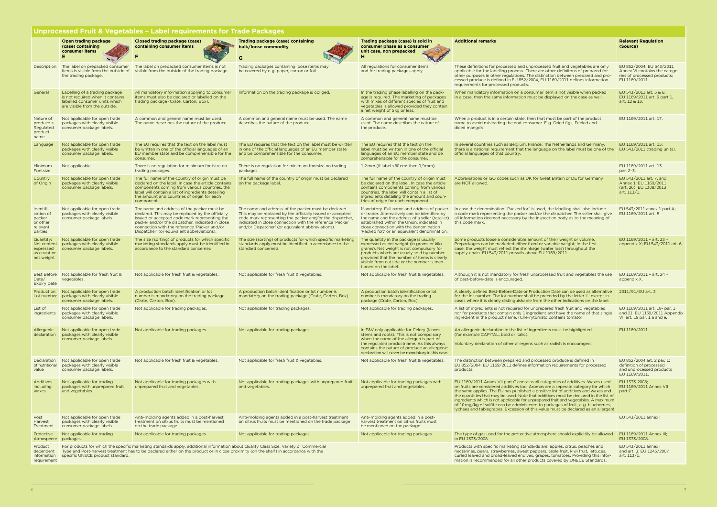| <b>Unprocessed Fruit &amp; Vegetables - Label requirements for Trade Packages</b> |                                                                                                                                                                                                                                                                                                                                                                                                                                                                                                                                                                                                                                                                                                                         |                                                                                                                                                                                                                                                                                                   |                                                                                                                                                                                                                                                                                                |                                                                                                                                                                                                                                                                                                    |                                                                                                                                                                                                                                                                                                                                                                                                                                                                                                                                                                                                                  |                                                                                                           |  |
|-----------------------------------------------------------------------------------|-------------------------------------------------------------------------------------------------------------------------------------------------------------------------------------------------------------------------------------------------------------------------------------------------------------------------------------------------------------------------------------------------------------------------------------------------------------------------------------------------------------------------------------------------------------------------------------------------------------------------------------------------------------------------------------------------------------------------|---------------------------------------------------------------------------------------------------------------------------------------------------------------------------------------------------------------------------------------------------------------------------------------------------|------------------------------------------------------------------------------------------------------------------------------------------------------------------------------------------------------------------------------------------------------------------------------------------------|----------------------------------------------------------------------------------------------------------------------------------------------------------------------------------------------------------------------------------------------------------------------------------------------------|------------------------------------------------------------------------------------------------------------------------------------------------------------------------------------------------------------------------------------------------------------------------------------------------------------------------------------------------------------------------------------------------------------------------------------------------------------------------------------------------------------------------------------------------------------------------------------------------------------------|-----------------------------------------------------------------------------------------------------------|--|
|                                                                                   | Open trading package<br>(case) containing<br>consumer items                                                                                                                                                                                                                                                                                                                                                                                                                                                                                                                                                                                                                                                             | <b>Closed trading package (case)</b><br>containing consumer items                                                                                                                                                                                                                                 | Trading package (case) containing<br>bulk/loose commodity<br>G.                                                                                                                                                                                                                                | Trading package (case) is sold in<br>consumer phase as a consumer<br>unit case, non prepacked<br>н                                                                                                                                                                                                 | <b>Additional remarks</b>                                                                                                                                                                                                                                                                                                                                                                                                                                                                                                                                                                                        | <b>Relevant Regulation</b><br>(Source)                                                                    |  |
| Description                                                                       | items is visible from the outside of<br>the trading package.                                                                                                                                                                                                                                                                                                                                                                                                                                                                                                                                                                                                                                                            | The label on prepacked consumer The label on prepacked consumer items is not<br>visible from the outside of the trading package.                                                                                                                                                                  | Trading packages containing loose items may<br>be covered by e.g. paper, carton or foil.                                                                                                                                                                                                       | All regulations for consumer items<br>and for trading packages apply.                                                                                                                                                                                                                              | These definitions for processed and unprocessed fruit and vegetables are only<br>applicable for the labelling process. There are other definitons of prepared for<br>other purposes in other regulations. The distinction between prepared and pro-<br>cessed produce is defined in EU 852/2004, EU 1169/2011 defines information<br>requirements for processed products.                                                                                                                                                                                                                                        | EU 852/2004; EU 543/2011<br>Annex VI contains the catego-<br>ries of processed products;<br>EU 1169/2011. |  |
| General                                                                           | Labelling of a trading package<br>is not required when it contains<br>labelled consumer units which<br>are visible from the outside.                                                                                                                                                                                                                                                                                                                                                                                                                                                                                                                                                                                    | All mandatory information applying to consumer<br>items must also be declared or labelled on the<br>trading package (Crate, Carton, Box).                                                                                                                                                         | Information on the trading package is obliged.                                                                                                                                                                                                                                                 | In the trading phase labelling on the pack-<br>age is required. The marketing of packages<br>with mixes of different species of fruit and<br>vegetables is allowed provided they contain<br>a net weight of 5kg or less.                                                                           | When mandatory information on a consumer item is not visible when packed<br>in a case, then the same information must be displayed on the case as weil.                                                                                                                                                                                                                                                                                                                                                                                                                                                          | EU 543/2011 art. 5 & 6;<br>EU 1169/2011 art. 9 part 1,<br>art. 12 & 13.                                   |  |
| Nature of<br>$produce =$<br>Regulated<br>product<br>name                          | Not applicable for open trade<br>packages with clearly visible<br>consumer package labels.                                                                                                                                                                                                                                                                                                                                                                                                                                                                                                                                                                                                                              | A common and general name must be used.<br>The name describes the nature of the produce.                                                                                                                                                                                                          | A common and general name must be used. The name<br>describes the nature of the produce.                                                                                                                                                                                                       | A common and general name must be<br>used. The name describes the nature of<br>the produce.                                                                                                                                                                                                        | When a product is in a certain state, then that must be part of the product<br>name to avoid misleading the end consumer. E.g. Dried figs, Peeled and<br>diced mango's.                                                                                                                                                                                                                                                                                                                                                                                                                                          | EU 1169/2011 art. 17.                                                                                     |  |
| Language                                                                          | Not applicable for open trade<br>packages with clearly visible<br>consumer package labels.                                                                                                                                                                                                                                                                                                                                                                                                                                                                                                                                                                                                                              | The EU requires that the text on the label must<br>be written in one of the official languages of an<br>EU member state and be comprehensible for the<br>consumer.                                                                                                                                | The EU requires that the text on the label must be written<br>in one of the official languages of an EU member state<br>and be comprehensible for the consumer.                                                                                                                                | The EU requires that the text on the<br>label must be written in one of the official<br>languages of an EU member state and be<br>comprehensible for the consumer.                                                                                                                                 | In several countries such as Belgium, France, The Netherlands and Germany,<br>there is a national requirement that the language on the label must be one of the EU 543/2011 (trading units).<br>official languages of that country.                                                                                                                                                                                                                                                                                                                                                                              | EU 1169/2011 art. 15;                                                                                     |  |
| Minimum<br>Fontsize                                                               | Not applicable.                                                                                                                                                                                                                                                                                                                                                                                                                                                                                                                                                                                                                                                                                                         | There is no regulation for minimum fontsize on<br>trading packages.                                                                                                                                                                                                                               | There is no regulation for minimum fontsize on trading<br>packages.                                                                                                                                                                                                                            | 1,2 mm (if label $\leq 80 \text{ cm}^2$ then 0,9 mm).                                                                                                                                                                                                                                              |                                                                                                                                                                                                                                                                                                                                                                                                                                                                                                                                                                                                                  | EU 1169/2011 art. 13<br>par. 2-3.                                                                         |  |
| Country<br>of Origin                                                              | Not applicable for open trade<br>packages with clearly visible<br>consumer package labels.                                                                                                                                                                                                                                                                                                                                                                                                                                                                                                                                                                                                                              | The full name of the country of origin must be.<br>declared on the label. In case the article contains<br>components coming from various countries, the<br>label will contain a list of ingredients detailing<br>the amount and countries of origin for each<br>component.                        | The full name of the country of origin must be declared<br>on the package label.                                                                                                                                                                                                               | The full name of the country of origin must<br>be declared on the label. In case the article<br>contains components coming from various<br>countries, the label will contain a list of<br>ingredients detailing the amount and coun-<br>tries of origin for each component.                        | Abbreviations or ISO codes such as UK for Great Britain or DE for Germany<br>are NOT allowed.                                                                                                                                                                                                                                                                                                                                                                                                                                                                                                                    | EU 543/2011 art. 7. and<br>Annex 1; EU 1169/2011<br>(art. 26); EU 1308/2013<br>art. $113/1$ .             |  |
| Identifi-<br>cation of<br>packer<br>or other<br>relevant<br>parties               | Not applicable for open trade<br>packages with clearly visible<br>consumer package labels.                                                                                                                                                                                                                                                                                                                                                                                                                                                                                                                                                                                                                              | The name and address of the packer must be<br>declared. This may be replaced by the officially<br>issued or accepted code mark representing the<br>packer and/or the dispatcher, indicated in close<br>connection with the reference 'Packer and/or<br>Dispatcher' (or equivalent abbreviations). | The name and address of the packer must be declared.<br>This may be replaced by the officially issued or accepted<br>code mark representing the packer and/or the dispatcher,<br>indicated in close connection with the reference 'Packer<br>and/or Dispatcher' (or equivalent abbreviations). | Mandatory. Full name and address of packer<br>or trader. Alternatively can be identified by<br>the name and the address of a seller (retailer)<br>established within the Union, indicated in<br>close connection with the denomination<br>'Packed for:' or an equivalent denomination.             | In case the denomination "Packed for" is used, the labelling shall also include<br>a code mark representing the packer and/or the dispatcher. The seller shall give<br>all information deemed necessary by the inspection body as to the meaning of<br>this code mark.                                                                                                                                                                                                                                                                                                                                           | EU 543/2011 annex 1 part A;<br>EU 1169/2011 art. 8                                                        |  |
| Quantity:<br>Net content<br>expressed<br>as count or<br>net weight                | Not applicable for open trade<br>packages with clearly visible<br>consumer package labels.                                                                                                                                                                                                                                                                                                                                                                                                                                                                                                                                                                                                                              | The size (sorting) of products for which specific<br>marketing standards apply must be identified in<br>accordance to the standard concerned.                                                                                                                                                     | The size (sorting) of products for which specific marketing<br>standards apply must be identified in accordance to the<br>standard concerned.                                                                                                                                                  | The quantity in the package is usually<br>expressed as net weight (in grams or kilo-<br>grams). Net weight is not compulsory for<br>products which are usualy sold by number<br>provided that the number of items is clearly<br>visible from outside or the number is men-<br>tioned on the label. | Some products loose a considerable amount of their weight or volume.<br>Prepackages can be marketed either fixed or variable weight; In the first<br>case, the weight must reflect the shrinkage (water loss) throughout the<br>supply-chain. EU 543/2011 prevails above EU 1169/2011.                                                                                                                                                                                                                                                                                                                           | EU 1169/2011 - art. 23 +<br>appendix X; EU 543/2011 art. 6.                                               |  |
| Date/<br><b>Expiry Date</b>                                                       | Best Before Not applicable for fresh fruit &<br>vegetables.                                                                                                                                                                                                                                                                                                                                                                                                                                                                                                                                                                                                                                                             | Not applicable for fresh fruit & vegetables.                                                                                                                                                                                                                                                      | Not applicable for fresh fruit & vegetables.                                                                                                                                                                                                                                                   | Not applicable for fresh fruit & vegetables.                                                                                                                                                                                                                                                       | Although it is not mandatory for fresh unprocessed fruit and vegetables the use<br>of best-before-date is encouraged                                                                                                                                                                                                                                                                                                                                                                                                                                                                                             | EU 1169/2011 - art. 24 +<br>appendix X.                                                                   |  |
| Lot number                                                                        | Production   Not applicable for open trade<br>packages with clearly visible<br>consumer package labels.                                                                                                                                                                                                                                                                                                                                                                                                                                                                                                                                                                                                                 | A production batch identification or lot<br>number is mandatory on the trading package<br>(Crate, Carton, Box).                                                                                                                                                                                   | A production batch identification or lot number is<br>mandatory on the trading package (Crate, Carton, Box).                                                                                                                                                                                   | A production batch identification or lot<br>number is mandatory on the trading<br>package (Crate, Carton, Box).                                                                                                                                                                                    | A clearly defined Best-Before-Date or Production Date can be used as alternative 2011/91/EU art. 3<br>for the lot number. The lot number shall be preceded by the letter 'L' except in<br>cases where it is clearly distinguishable from the other indications on the label.                                                                                                                                                                                                                                                                                                                                     |                                                                                                           |  |
| List of<br>Ingredients                                                            | Not applicable for open trade<br>packages with clearly visible<br>consumer package labels.                                                                                                                                                                                                                                                                                                                                                                                                                                                                                                                                                                                                                              | Not applicable for trading packages.                                                                                                                                                                                                                                                              | Not applicable for trading packages.                                                                                                                                                                                                                                                           | Not applicable for trading packages.                                                                                                                                                                                                                                                               | A list of ingredients is not required for unprepared fresh fruit and vegetables<br>nor for products that contain only 1 ingredient and have the name of that single<br>ingredient in the product name. (Cherrytomato contains tomato)                                                                                                                                                                                                                                                                                                                                                                            | EU 1169/2011 art. 18- par. 1<br>and 21. EU 1169/2011 Appendix<br>VII art. 19 par. 1 a and e.              |  |
| Allergenic<br>declaration                                                         | Not applicable for open trade<br>packages with clearly visible<br>consumer package labels.                                                                                                                                                                                                                                                                                                                                                                                                                                                                                                                                                                                                                              | Not applicable for trading packages.                                                                                                                                                                                                                                                              | Not applicable for trading packages.                                                                                                                                                                                                                                                           | In F&V only applicable for Celery (leaves,<br>stems and roots). This is not compulsory<br>when the name of the allergen is part of<br>the regulated productname. As this always<br>contains the nature of produce an allergenic<br>declaration will never be mandatory in this case.               | An allergenic declaration in the list of ingredients must be highlighted<br>(for example CAPITAL, bold or italic).<br>Voluntary declaration of other allergens such as radish is encouraged.                                                                                                                                                                                                                                                                                                                                                                                                                     | EU 1169/2011.                                                                                             |  |
| Declaration<br>of nutritional<br>value                                            | Not applicable for open trade<br>packages with clearly visible<br>consumer package labels.                                                                                                                                                                                                                                                                                                                                                                                                                                                                                                                                                                                                                              | Not applicable for fresh fruit & vegetables.                                                                                                                                                                                                                                                      | Not applicable for fresh fruit & vegetables.                                                                                                                                                                                                                                                   | Not applicable for fresh fruit & vegetables.                                                                                                                                                                                                                                                       | The distinction between prepared and processed produce is defined in<br>EU 852/2004. EU 1169/2011 defines information requirements for processed<br>products.                                                                                                                                                                                                                                                                                                                                                                                                                                                    | EU 852/2004 art. 2 par. 1:<br>definition of processed<br>and unprocessed products<br>EU 1169/2011.        |  |
| Additives<br>including<br>waxes                                                   | Not applicable for trading<br>packages with unprepared fruit<br>and vegetables.                                                                                                                                                                                                                                                                                                                                                                                                                                                                                                                                                                                                                                         | Not applicable for trading packages with<br>unprepared fruit and vegetables.                                                                                                                                                                                                                      | Not applicable for trading packages with unprepared fruit<br>and vegetables.                                                                                                                                                                                                                   | Not applicable for trading packages with<br>unprepared fruit and vegetables.                                                                                                                                                                                                                       | EU 1169/2011 Annex VII part C contains all categories of additives. Waxes used<br>on fruits are considered additives too. Aromas are a seperate category for which<br>the same applies. The EU has published a positive list of additives and waxes and<br>the quantities that may be used. Note that additives must be declared in the list of<br>ingredients which is not applicable for unprepared fruit and vegetables. A maximum<br>of 10 mg/kg of sulfite can be administered to packages of fruit, e.g. blueberries,<br>lychees and tablegrapes. Excession of this value must be declared as an allergen! | EU 1333-2008;<br>EU 1169/2011 Annex VII<br>part C.                                                        |  |
| Post<br>Harvest<br>Treatment                                                      | Not applicable for open trade<br>packages with clearly visible<br>consumer package labels.                                                                                                                                                                                                                                                                                                                                                                                                                                                                                                                                                                                                                              | Anti-molding agents added in a post-harvest<br>treatment on citrus fruits must be mentioned<br>on the trade package                                                                                                                                                                               | Anti-molding agents added in a post-harvest treatment<br>on citrus fruits must be mentioned on the trade package                                                                                                                                                                               | Anti-molding agents added in a post-<br>harvest treatment on citrus fruits must<br>be mentioned on the package.                                                                                                                                                                                    |                                                                                                                                                                                                                                                                                                                                                                                                                                                                                                                                                                                                                  | EU 543/2011 annex I                                                                                       |  |
| Protective<br>Atmosphere                                                          | Not applicable for trading<br>packages.                                                                                                                                                                                                                                                                                                                                                                                                                                                                                                                                                                                                                                                                                 | Not applicable for trading packages.                                                                                                                                                                                                                                                              | Not applicable for trading packages.                                                                                                                                                                                                                                                           | Not applicable for trading packages.                                                                                                                                                                                                                                                               | The type of gas used for the protective atmosphere should explicitily be allowed<br>in EU 1333/2008                                                                                                                                                                                                                                                                                                                                                                                                                                                                                                              | EU 1169/2011 Annex III;<br>EU 1333/2008.                                                                  |  |
| Product<br>dependent<br>information<br>requirement                                | EU 543/2011 annex I<br>For products for which the specific marketing standards apply, additional information about Quality Class Size, Variety or Commercial<br>Products with specific marketing standards are: apples, citrus, peaches and<br>Type and Post-harvest treatment has to be declared either on the product or in close proximity (on the shelf) in accordance with the<br>nectarines, pears, strawberries, sweet peppers, table fruit, kiwi fruit, lettuces,<br>and art. 3; EU 1243/2007<br>specific UNECE product standard.<br>curled leaved and broad-leaved endives, grapes, tomatoes. Providing this infor-<br>art. 113/1.<br>mation is recommended for all other products covered by UNECE Standards. |                                                                                                                                                                                                                                                                                                   |                                                                                                                                                                                                                                                                                                |                                                                                                                                                                                                                                                                                                    |                                                                                                                                                                                                                                                                                                                                                                                                                                                                                                                                                                                                                  |                                                                                                           |  |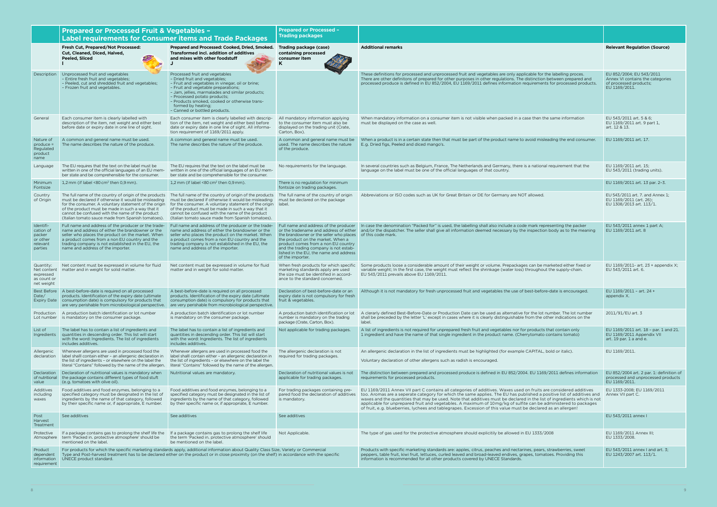|                                                                     | <b>Prepared or Processed Fruit &amp; Vegetables -</b><br><b>Label requirements for Consumer items and Trade Packages</b>                                                                                                                                                                                          |                                                                                                                                                                                                                                                                                                                                                                                                                                              | <b>Prepared or Processed -</b><br><b>Trading packages</b>                                                                                                                                                                                                                               |                                                                                                                                                                                                                                                                                                                                                                                                                                                                                                                                                                                                           |                                                                                                         |
|---------------------------------------------------------------------|-------------------------------------------------------------------------------------------------------------------------------------------------------------------------------------------------------------------------------------------------------------------------------------------------------------------|----------------------------------------------------------------------------------------------------------------------------------------------------------------------------------------------------------------------------------------------------------------------------------------------------------------------------------------------------------------------------------------------------------------------------------------------|-----------------------------------------------------------------------------------------------------------------------------------------------------------------------------------------------------------------------------------------------------------------------------------------|-----------------------------------------------------------------------------------------------------------------------------------------------------------------------------------------------------------------------------------------------------------------------------------------------------------------------------------------------------------------------------------------------------------------------------------------------------------------------------------------------------------------------------------------------------------------------------------------------------------|---------------------------------------------------------------------------------------------------------|
|                                                                     | Fresh Cut, Prepared/Not Processed:<br>Cut, Cleaned, Diced, Halved,<br>Peeled, Sliced                                                                                                                                                                                                                              | Prepared and Processed: Cooked, Dried, Smoked.<br>Transformed incl. addition of additives<br>and mixes with other foodstuff                                                                                                                                                                                                                                                                                                                  | Trading package (case)<br>containing processed<br>consumer item<br>K                                                                                                                                                                                                                    | <b>Additional remarks</b>                                                                                                                                                                                                                                                                                                                                                                                                                                                                                                                                                                                 | <b>Relevant Regulation (Source)</b>                                                                     |
| Description                                                         | Unprocessed fruit and vegetables<br>- Entire fresh fruit and vegetables;<br>- Peeled, cut and shredded fruit and vegetables;<br>- Frozen fruit and vegetables.                                                                                                                                                    | Processed fruit and vegetables<br>- Dried fruit and vegetables;<br>- Fruit and vegetables in vinegar, oil or brine;<br>- Fruit and vegetable preparations;<br>- Jam, jellies, marmalades and similar products;<br>- Processed potato products;<br>- Products smoked, cooked or otherwise trans-<br>formed by heating;<br>- Canned or bottled products.                                                                                       |                                                                                                                                                                                                                                                                                         | These definitions for processed and unprocessed fruit and vegetables are only applicable for the labelling proces.<br>There are other definitons of prepared for other purposes in other regulations. The distinction between prepared and<br>processed produce is defined in EU 852/2004, EU 1169/2011 defines information requirements for processed products.                                                                                                                                                                                                                                          | EU 852/2004; EU 543/2011<br>Annex VI contains the categories<br>of processed products:<br>EU 1169/2011. |
| General                                                             | Each consumer item is clearly labelled with<br>description of the item, net weight and either best<br>before date or expiry date in one line of sight.                                                                                                                                                            | Each consumer item is clearly labelled with descrip-<br>tion of the item, net weight and either best before<br>date or expiry date in one line of sight. All informa-<br>tion requirement of 1169/2011 apply.                                                                                                                                                                                                                                | All mandatory information applying<br>to the consumer item must also be<br>displayed on the trading unit (Crate,<br>Carton, Box).                                                                                                                                                       | When mandatory information on a consumer item is not visible when packed in a case then the same information<br>must be displayed on the case as well.                                                                                                                                                                                                                                                                                                                                                                                                                                                    | EU 543/2011 art. 5 & 6;<br>EU 1169/2011 art. 9 part 1,<br>art. 12 & 13.                                 |
| Nature of<br>$produce =$<br>Regulated<br>product<br>name            | A common and general name must be used.<br>The name describes the nature of the produce.                                                                                                                                                                                                                          | A common and general name must be used.<br>The name describes the nature of the produce.                                                                                                                                                                                                                                                                                                                                                     | A common and general name must be<br>used. The name describes the nature<br>of the produce.                                                                                                                                                                                             | When a product is in a certain state then that must be part of the product name to avoid misleading the end consumer.<br>E.g. Dried figs, Peeled and diced mango's.                                                                                                                                                                                                                                                                                                                                                                                                                                       | EU 1169/2011 art. 17.                                                                                   |
| Language                                                            | The EU requires that the text on the label must be<br>written in one of the official languages of an EU mem-<br>ber state and be comprehensible for the consumer.                                                                                                                                                 | The EU requires that the text on the label must be<br>written in one of the official languages of an EU mem-<br>ber state and be comprehensible for the consumer.                                                                                                                                                                                                                                                                            | No requirements for the language.                                                                                                                                                                                                                                                       | In several countries such as Belgium, France, The Netherlands and Germany, there is a national requirement that the<br>language on the label must be one of the official languages of that country.                                                                                                                                                                                                                                                                                                                                                                                                       | EU 1169/2011 art. 15;<br>EU 543/2011 (trading units).                                                   |
| Minimum<br>Fontsize                                                 | 1,2 mm (if label <80 cm <sup>2</sup> then 0,9 mm).                                                                                                                                                                                                                                                                | 1,2 mm (if label $\leq 80$ cm <sup>2</sup> then 0,9 mm).                                                                                                                                                                                                                                                                                                                                                                                     | There is no regulation for minimum<br>fontsize on trading packages.                                                                                                                                                                                                                     |                                                                                                                                                                                                                                                                                                                                                                                                                                                                                                                                                                                                           | EU 1169/2011 art. 13 par. 2-3.                                                                          |
| Country<br>of Origin                                                | must be declared if otherwise it would be misleading<br>for the consumer. A voluntary statement of the origin<br>of the product must be made in such a way that it<br>cannot be confused with the name of the product<br>(Italian tomato sauce made from Spanish tomatoes).                                       | The full name of the country of origin of the products The full name of the country of origin of the products The full name of the country of origin<br>must be declared if otherwise it would be misleading<br>for the consumer. A voluntary statement of the origin   label.<br>of the product must be made in such a way that it<br>cannot be confused with the name of the product<br>(Italian tomato sauce made from Spanish tomatoes). | must be declared on the package                                                                                                                                                                                                                                                         | Abbreviations or ISO codes such as UK for Great Britain or DE for Germany are NOT allowed.                                                                                                                                                                                                                                                                                                                                                                                                                                                                                                                | EU 543/2011 art. 7. and Annex 1;<br>EU 1169/2011 (art. 26);<br>EU 1308/2013 art. 113/1.                 |
| Identifi-<br>cation of<br>packer<br>or other<br>relevant<br>parties | Full name and address of the producer or the trade-<br>name and address of either the brandowner or the<br>seller who places the product on the market. When<br>a product comes from a non EU country and the<br>trading company is not established in the EU, the<br>name and address of the importer.           | Full name and address of the producer or the trade-<br>name and address of either the brandowner or the<br>seller who places the product on the market. When<br>a product comes from a non EU country and the<br>trading company is not established in the EU, the<br>name and address of the importer.                                                                                                                                      | or the tradename and address of either<br>the brandowner or the seller who places of this code mark.<br>the product on the market. When a<br>product comes from a non EU country<br>and the trading company is not estab-<br>lished in the EU, the name and address<br>of the importer. | Full name and address of the producer In case the denomination "Packed for" is used, the labelling shall also include a code mark representing the packer<br>and/or the dispatcher. The seller shall give all information deemed necessary by the inspection body as to the meaning                                                                                                                                                                                                                                                                                                                       | EU 543/2011 annex 1 part A;<br>EU 1169/2011 art. 8                                                      |
| Quantity:<br>Net content<br>expressed<br>as count or<br>net weight  | Net content must be expressed in volume for fluid<br>matter and in weight for solid matter.                                                                                                                                                                                                                       | Net content must be expressed in volume for fluid<br>matter and in weight for solid matter.                                                                                                                                                                                                                                                                                                                                                  | When fresh products for which specific<br>marketing standards apply are used<br>the size must be identified in accord-<br>ance to the standard concerned.                                                                                                                               | Some products loose a considerable amount of their weight or volume. Prepackages can be marketed either fixed or<br>variable weight; In the first case, the weight must reflect the shrinkage (water loss) throughout the supply-chain.<br>EU 543/2011 prevails above EU 1169/2011                                                                                                                                                                                                                                                                                                                        | EU 1169/2011- art. 23 + appendix X:<br>EU 543/2011 art. 6.                                              |
| Date/<br><b>Expiry Date</b>                                         | Best Before A best-before-date is required on all processed<br>products. Identification of the expiry date (ultimate<br>consumption date) is compulsory for products that<br>are very perishable from microbiological perspective.                                                                                | A best-before-date is required on all processed<br>products. Identification of the expiry date (ultimate<br>consumption date) is compulsory for products that<br>are very perishable from microbiological perspective.                                                                                                                                                                                                                       | Declaration of best-before-date or an<br>expiry date is not compulsory for fresh<br>fruit & vegetables.                                                                                                                                                                                 | Although it is not mandatory for fresh unprocessed fruit and vegetables the use of best-before-date is encouraged.                                                                                                                                                                                                                                                                                                                                                                                                                                                                                        | EU 1169/2011 - art. 24 +<br>appendix X.                                                                 |
|                                                                     | Production   A production batch identification or lot number<br>Lot number is mandatory on the consumer package.                                                                                                                                                                                                  | A production batch identification or lot number<br>is mandatory on the consumer package.                                                                                                                                                                                                                                                                                                                                                     | A production batch identification or lot<br>number is mandatory on the trading<br>package (Crate, Carton, Box).                                                                                                                                                                         | A clerarly defined Best-Before-Date or Production Date can be used as alternative for the lot number. The lot number<br>shall be preceded by the letter 'L' except in cases where it is clearly distinguishable from the other indications on the<br>label.                                                                                                                                                                                                                                                                                                                                               | 2011/91/EU art. 3                                                                                       |
| List of<br>Ingredients                                              | The label has to contain a list of ingredients and<br>quantities in descending order. This list will start<br>with the word: Ingredients. The list of ingredients<br>includes additives.                                                                                                                          | The label has to contain a list of ingredients and<br>quantities in descending order. This list will start<br>with the word: Ingredients. The list of ingredients<br>includes additives.                                                                                                                                                                                                                                                     | Not applicable for trading packages.                                                                                                                                                                                                                                                    | A list of ingredients is not required for unprepared fresh fruit and vegetables nor for products that contain only<br>1 ingredient and have the name of that single ingredient in the product name. (Cherrytomato contains tomato)                                                                                                                                                                                                                                                                                                                                                                        | EU 1169/2011 art. 18 - par. 1 and 21.<br>EU 1169/2011 Appendix VII<br>art. 19 par. 1 a and e.           |
| Allergenic<br>declaration                                           | Whenever allergens are used in processed food the<br>label shalll contain either - an allergenic declaration in<br>the list of ingredients - or elsewhere on the label the<br>literal "Contains" followed by the name of the allergen.                                                                            | Whenever allergens are used in processed food the<br>label shalll contain either - an allergenic declaration in<br>the list of ingredients - or elsewhere on the label the<br>literal "Contains" followed by the name of the allergen.                                                                                                                                                                                                       | The allergenic declaration is not<br>required for trading packages.                                                                                                                                                                                                                     | An allergenic declaration in the list of ingredients must be highlighted (for example CAPITAL, bold or italic).<br>Voluntary declaration of other allergens such as radish is encouraged.                                                                                                                                                                                                                                                                                                                                                                                                                 | EU 1169/2011.                                                                                           |
| of nutritional<br>value                                             | Declaration Declaration of nutritional values is mandatory when<br>the package contains different types of food stuft<br>(e.g. tomatoes with olive oil).                                                                                                                                                          | Nutritional values are mandatory.                                                                                                                                                                                                                                                                                                                                                                                                            | Declaration of nutritional values is not<br>applicable for trading packages.                                                                                                                                                                                                            | The distinction between prepared and processed produce is defined in EU 852/2004. EU 1169/2011 defines information<br>requirements for processed products.                                                                                                                                                                                                                                                                                                                                                                                                                                                | EU 852/2004 art. 2 par. 1: definition of<br>processed and unprocessed products<br>EU 1169/2011.         |
| Additives<br>including<br>waxes                                     | Food additives and food enzymes, belonging to a<br>specified category must be designated in the list of<br>ingredients by the name of that category, followed<br>by their specific name or, if appropriate, E number.                                                                                             | Food additives and food enzymes, belonging to a<br>specified category must be designated in the list of<br>ingredients by the name of that category, followed<br>by their specific name or, if appropriate, E number.                                                                                                                                                                                                                        | For trading packages containing pre-<br>pared food the declaration of additives<br>is mandatory.                                                                                                                                                                                        | EU 1169/2011 Annex VII part C contains all categories of additives. Waxes used on fruits are considered additives<br>too. Aromas are a seperate category for which the same applies. The EU has published a positive list of additives and<br>waxes and the quantities that may be used. Note that additives must be declared in the list of ingredients which is not<br>applicable for unprepared fruit and vegetables. A maximum of 10mg/kg of sulfite can be administered to packages<br>of fruit, e.g. blueberries, lychees and tablegrapes. Excession of this value must be declared as an allergen! | EU 1333-2008; EU 1169/2011<br>Annex VII part C.                                                         |
| Post<br>Harvest<br>Treatment                                        | See additives                                                                                                                                                                                                                                                                                                     | See additives                                                                                                                                                                                                                                                                                                                                                                                                                                | See additives                                                                                                                                                                                                                                                                           |                                                                                                                                                                                                                                                                                                                                                                                                                                                                                                                                                                                                           | EU 543/2011 annex I                                                                                     |
| Protective<br>Atmosphere                                            | If a package contains gas to prolong the shelf life the If a package contains gas to prolong the shelf life<br>term 'Packed in. protective atmosphere' should be<br>mentioned on the label.                                                                                                                       | the term 'Packed in. protective atmosphere' should<br>be mentioned on the label.                                                                                                                                                                                                                                                                                                                                                             | Not Applicable.                                                                                                                                                                                                                                                                         | The type of gas used for the protective atmosphere should explicitily be allowed in EU 1333/2008                                                                                                                                                                                                                                                                                                                                                                                                                                                                                                          | EU 1169/2011 Annex III;<br>EU 1333/2008.                                                                |
| Product<br>dependent<br>information<br>requirement                  | For products for which the specific marketing standards apply, additional information about Quality Class Size, Variety or Commercial<br>Type and Post-harvest treatment has to be declared either on the product or in close proximity (on the shelf) in accordance with the specific<br>UNECE product standard. |                                                                                                                                                                                                                                                                                                                                                                                                                                              |                                                                                                                                                                                                                                                                                         | Products with specific marketing standards are: apples, citrus, peaches and nectarines, pears, strawberries, sweet<br>peppers, table fruit, kiwi fruit, lettuces, curled leaved and broad-leaved endives, grapes, tomatoes. Providing this<br>information is recommended for all other products covered by UNECE Standards.                                                                                                                                                                                                                                                                               | EU 543/2011 annex I and art. 3;<br>EU 1243/2007 art. 113/1.                                             |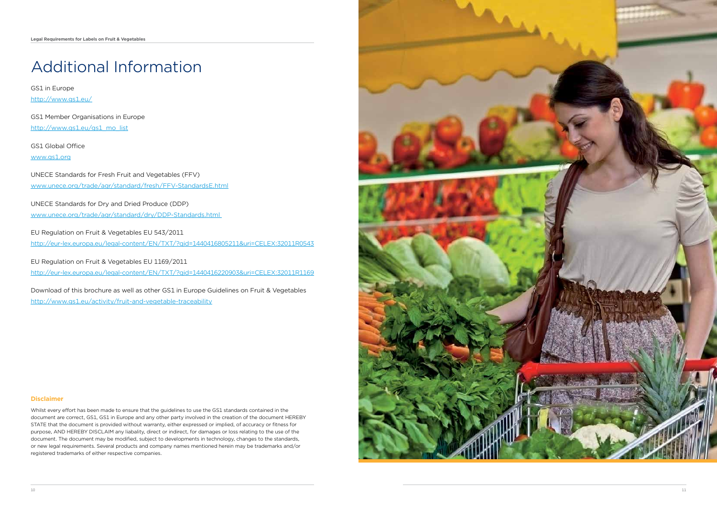# Additional Information

GS1 in Europe http://www.gs1.eu/

GS1 Member Organisations in Europe http://www.gs1.eu/gs1\_mo\_list

GS1 Global Office www.gs1.org

UNECE Standards for Fresh Fruit and Vegetables (FFV) www.unece.org/trade/agr/standard/fresh/FFV-StandardsE.html

UNECE Standards for Dry and Dried Produce (DDP) www.unece.org/trade/agr/standard/dry/DDP-Standards.html

EU Regulation on Fruit & Vegetables EU 543/2011

http://eur-lex.europa.eu/legal-content/EN/TXT/?qid=1440416805211&uri=CELEX:32011R0543

EU Regulation on Fruit & Vegetables EU 1169/2011

http://eur-lex.europa.eu/legal-content/EN/TXT/?qid=1440416220903&uri=CELEX:32011R1169

Download of this brochure as well as other GS1 in Europe Guidelines on Fruit & Vegetables http://www.gs1.eu/activity/fruit-and-vegetable-traceability

### **Disclaimer**

Whilst every effort has been made to ensure that the guidelines to use the GS1 standards contained in the document are correct, GS1, GS1 in Europe and any other party involved in the creation of the document HEREBY STATE that the document is provided without warranty, either expressed or implied, of accuracy or fitness for purpose, AND HEREBY DISCLAIM any liabality, direct or indirect, for damages or loss relating to the use of the document. The document may be modified, subject to developments in technology, changes to the standards, or new legal requirements. Several products and company names mentioned herein may be trademarks and/or registered trademarks of either respective companies.